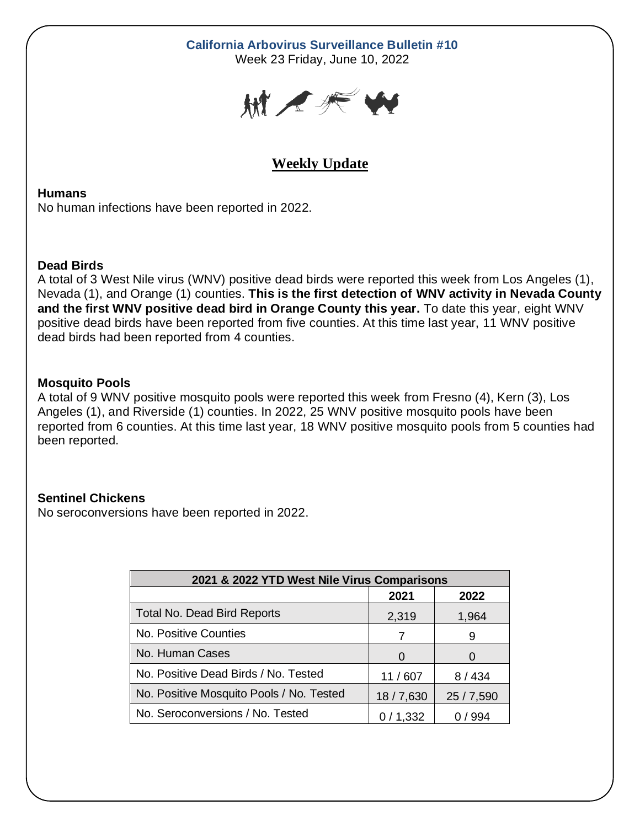# **California Arbovirus Surveillance Bulletin #10**

Week 23 Friday, June 10, 2022



# **Weekly Update**

#### **Humans**

No human infections have been reported in 2022.

#### **Dead Birds**

A total of 3 West Nile virus (WNV) positive dead birds were reported this week from Los Angeles (1), Nevada (1), and Orange (1) counties. **This is the first detection of WNV activity in Nevada County and the first WNV positive dead bird in Orange County this year.** To date this year, eight WNV positive dead birds have been reported from five counties. At this time last year, 11 WNV positive dead birds had been reported from 4 counties.

### **Mosquito Pools**

A total of 9 WNV positive mosquito pools were reported this week from Fresno (4), Kern (3), Los Angeles (1), and Riverside (1) counties. In 2022, 25 WNV positive mosquito pools have been reported from 6 counties. At this time last year, 18 WNV positive mosquito pools from 5 counties had been reported.

## **Sentinel Chickens**

No seroconversions have been reported in 2022.

| 2021 & 2022 YTD West Nile Virus Comparisons |          |            |  |  |  |  |  |
|---------------------------------------------|----------|------------|--|--|--|--|--|
|                                             | 2021     | 2022       |  |  |  |  |  |
| <b>Total No. Dead Bird Reports</b>          | 2,319    | 1,964      |  |  |  |  |  |
| No. Positive Counties                       | 7        | 9          |  |  |  |  |  |
| No. Human Cases                             | $\Omega$ |            |  |  |  |  |  |
| No. Positive Dead Birds / No. Tested        | 11/607   | 8/434      |  |  |  |  |  |
| No. Positive Mosquito Pools / No. Tested    | 18/7,630 | 25 / 7,590 |  |  |  |  |  |
| No. Seroconversions / No. Tested            | 0/1,332  | 994        |  |  |  |  |  |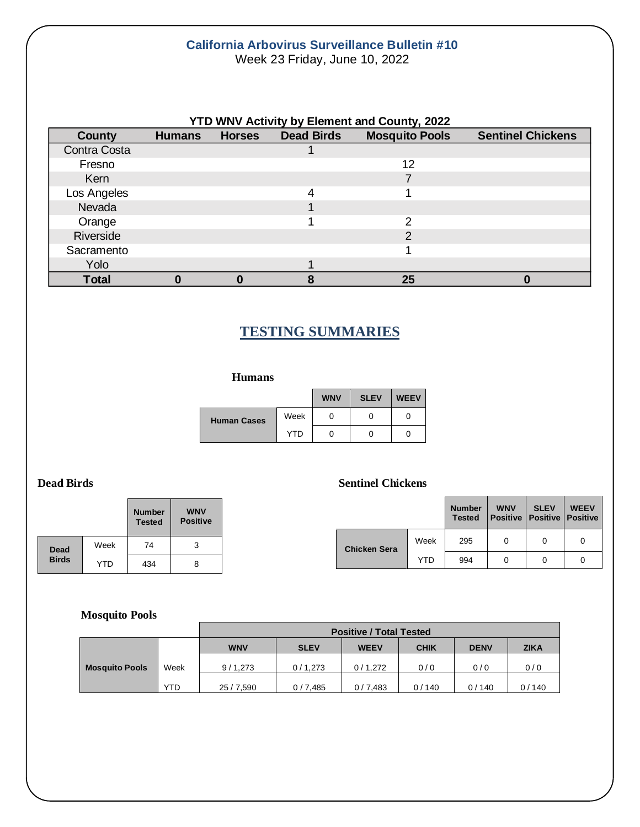#### **California Arbovirus Surveillance Bulletin #10** Week 23 Friday, June 10, 2022

| <b>YTD WNV Activity by Element and County, 2022</b> |               |               |                   |                       |                          |  |  |
|-----------------------------------------------------|---------------|---------------|-------------------|-----------------------|--------------------------|--|--|
| <b>County</b>                                       | <b>Humans</b> | <b>Horses</b> | <b>Dead Birds</b> | <b>Mosquito Pools</b> | <b>Sentinel Chickens</b> |  |  |
| Contra Costa                                        |               |               |                   |                       |                          |  |  |
| Fresno                                              |               |               |                   | 12                    |                          |  |  |
| Kern                                                |               |               |                   |                       |                          |  |  |
| Los Angeles                                         |               |               |                   |                       |                          |  |  |
| Nevada                                              |               |               |                   |                       |                          |  |  |
| Orange                                              |               |               |                   | າ                     |                          |  |  |
| Riverside                                           |               |               |                   | $\mathcal{P}$         |                          |  |  |
| Sacramento                                          |               |               |                   |                       |                          |  |  |
| Yolo                                                |               |               |                   |                       |                          |  |  |
| <b>Total</b>                                        |               |               |                   | 25                    |                          |  |  |

# **TESTING SUMMARIES**

#### **Humans**

|                    |      | <b>WNV</b> | <b>SLEV</b> | <b>WEEV</b> |
|--------------------|------|------------|-------------|-------------|
| <b>Human Cases</b> | Week | 0          |             |             |
|                    | YTD  | 0          |             |             |

|              |            | <b>Number</b><br><b>Tested</b> | <b>WNV</b><br><b>Positive</b> |
|--------------|------------|--------------------------------|-------------------------------|
| <b>Dead</b>  | Week       | 74                             | 3                             |
| <b>Birds</b> | <b>YTD</b> | 434                            | 8                             |

#### **Dead Birds Sentinel Chickens**

|  |                     |            | <b>Number</b><br><b>Tested</b> | <b>WNV</b><br><b>Positive   Positive   Positive</b> | <b>SLEV</b> | <b>WEEV</b> |
|--|---------------------|------------|--------------------------------|-----------------------------------------------------|-------------|-------------|
|  | <b>Chicken Sera</b> | Week       | 295                            | 0                                                   | 0           | 0           |
|  |                     | <b>YTD</b> | 994                            |                                                     | 0           |             |

#### **Mosquito Pools**

|                       |            | <b>Positive / Total Tested</b> |             |             |             |             |             |
|-----------------------|------------|--------------------------------|-------------|-------------|-------------|-------------|-------------|
|                       |            | <b>WNV</b>                     | <b>SLEV</b> | <b>WEEV</b> | <b>CHIK</b> | <b>DENV</b> | <b>ZIKA</b> |
| <b>Mosquito Pools</b> | Week       | 9/1,273                        | 0/1.273     | 0/1.272     | 0/0         | 0/0         | 0/0         |
|                       | <b>YTD</b> | 25 / 7,590                     | 0/7,485     | 0/7.483     | 0/140       | 0/140       | 0/140       |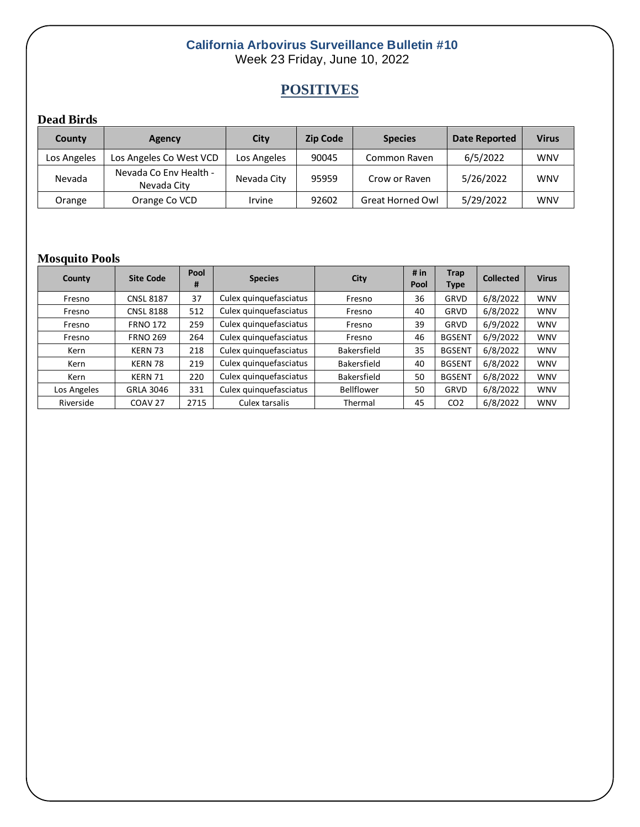### **California Arbovirus Surveillance Bulletin #10** Week 23 Friday, June 10, 2022

# **POSITIVES**

## **Dead Birds**

| County      | Agency                                | City        | <b>Zip Code</b> | <b>Species</b>          | Date Reported | <b>Virus</b> |
|-------------|---------------------------------------|-------------|-----------------|-------------------------|---------------|--------------|
| Los Angeles | Los Angeles Co West VCD               | Los Angeles | 90045           | Common Raven            | 6/5/2022      | <b>WNV</b>   |
| Nevada      | Nevada Co Env Health -<br>Nevada City | Nevada City | 95959           | Crow or Raven           | 5/26/2022     | <b>WNV</b>   |
| Orange      | Orange Co VCD                         | Irvine      | 92602           | <b>Great Horned Owl</b> | 5/29/2022     | <b>WNV</b>   |

### **Mosquito Pools**

| County      | <b>Site Code</b>   | Pool<br># | <b>Species</b>         | City               | # $in$<br>Pool | <b>Trap</b><br><b>Type</b> | <b>Collected</b> | <b>Virus</b> |
|-------------|--------------------|-----------|------------------------|--------------------|----------------|----------------------------|------------------|--------------|
| Fresno      | <b>CNSL 8187</b>   | 37        | Culex quinquefasciatus | Fresno             | 36             | GRVD                       | 6/8/2022         | <b>WNV</b>   |
| Fresno      | <b>CNSL 8188</b>   | 512       | Culex quinquefasciatus | Fresno             | 40             | <b>GRVD</b>                | 6/8/2022         | <b>WNV</b>   |
| Fresno      | <b>FRNO 172</b>    | 259       | Culex quinquefasciatus | Fresno             | 39             | GRVD                       | 6/9/2022         | <b>WNV</b>   |
| Fresno      | <b>FRNO 269</b>    | 264       | Culex quinquefasciatus | Fresno             | 46             | <b>BGSENT</b>              | 6/9/2022         | <b>WNV</b>   |
| Kern        | KERN 73            | 218       | Culex quinquefasciatus | Bakersfield        | 35             | <b>BGSENT</b>              | 6/8/2022         | <b>WNV</b>   |
| Kern        | KERN 78            | 219       | Culex quinquefasciatus | <b>Bakersfield</b> | 40             | <b>BGSENT</b>              | 6/8/2022         | <b>WNV</b>   |
| Kern        | KERN 71            | 220       | Culex quinquefasciatus | Bakersfield        | 50             | <b>BGSENT</b>              | 6/8/2022         | <b>WNV</b>   |
| Los Angeles | <b>GRLA 3046</b>   | 331       | Culex quinquefasciatus | Bellflower         | 50             | GRVD                       | 6/8/2022         | <b>WNV</b>   |
| Riverside   | COAV <sub>27</sub> | 2715      | Culex tarsalis         | Thermal            | 45             | CO <sub>2</sub>            | 6/8/2022         | <b>WNV</b>   |